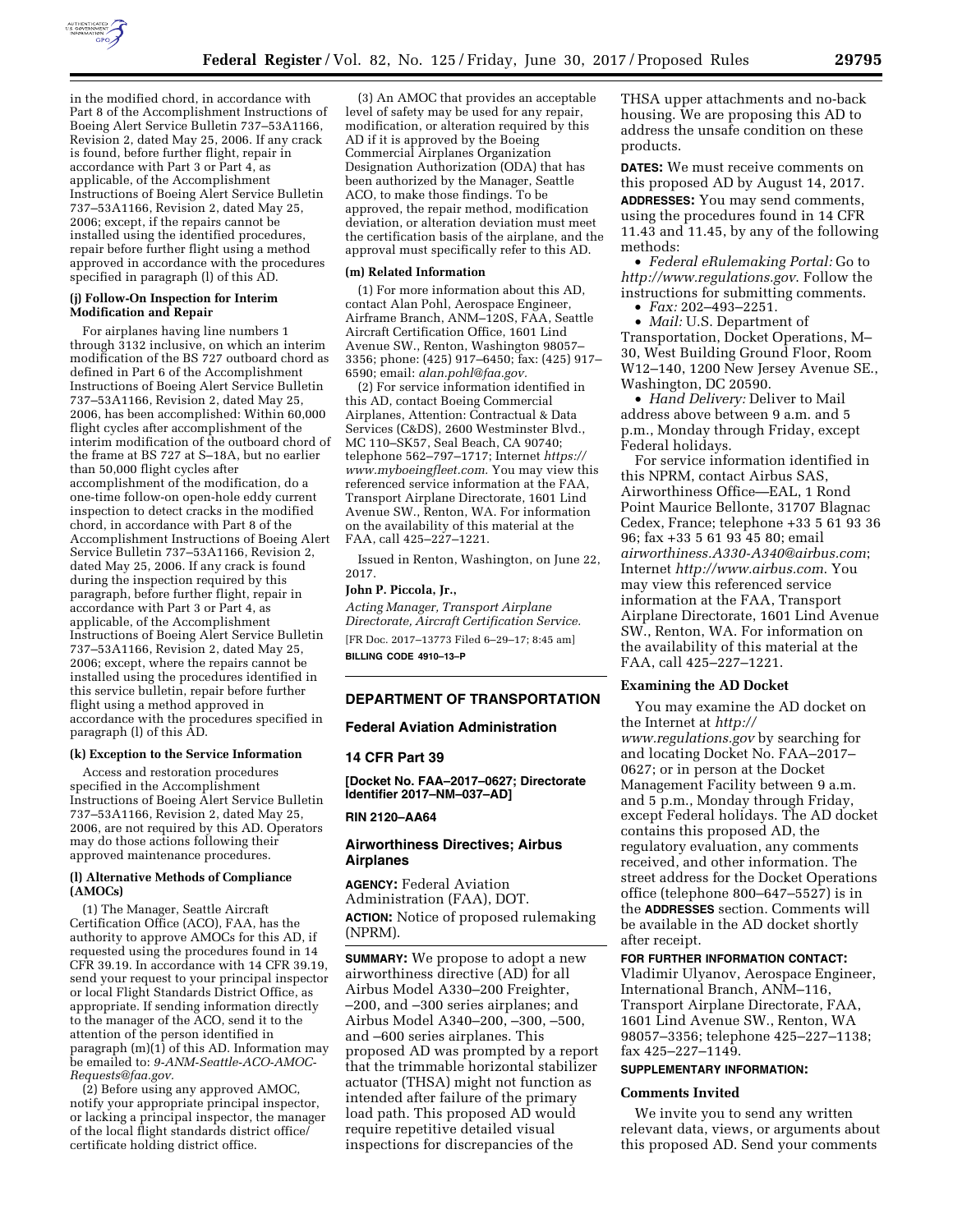

in the modified chord, in accordance with Part 8 of the Accomplishment Instructions of Boeing Alert Service Bulletin 737–53A1166, Revision 2, dated May 25, 2006. If any crack is found, before further flight, repair in accordance with Part 3 or Part 4, as applicable, of the Accomplishment Instructions of Boeing Alert Service Bulletin 737–53A1166, Revision 2, dated May 25, 2006; except, if the repairs cannot be installed using the identified procedures, repair before further flight using a method approved in accordance with the procedures specified in paragraph (l) of this AD.

### **(j) Follow-On Inspection for Interim Modification and Repair**

For airplanes having line numbers 1 through 3132 inclusive, on which an interim modification of the BS 727 outboard chord as defined in Part 6 of the Accomplishment Instructions of Boeing Alert Service Bulletin 737–53A1166, Revision 2, dated May 25, 2006, has been accomplished: Within 60,000 flight cycles after accomplishment of the interim modification of the outboard chord of the frame at BS 727 at S–18A, but no earlier than 50,000 flight cycles after accomplishment of the modification, do a one-time follow-on open-hole eddy current inspection to detect cracks in the modified chord, in accordance with Part 8 of the Accomplishment Instructions of Boeing Alert Service Bulletin 737–53A1166, Revision 2, dated May 25, 2006. If any crack is found during the inspection required by this paragraph, before further flight, repair in accordance with Part 3 or Part 4, as applicable, of the Accomplishment Instructions of Boeing Alert Service Bulletin 737–53A1166, Revision 2, dated May 25, 2006; except, where the repairs cannot be installed using the procedures identified in this service bulletin, repair before further flight using a method approved in accordance with the procedures specified in paragraph (l) of this AD.

#### **(k) Exception to the Service Information**

Access and restoration procedures specified in the Accomplishment Instructions of Boeing Alert Service Bulletin 737–53A1166, Revision 2, dated May 25, 2006, are not required by this AD. Operators may do those actions following their approved maintenance procedures.

## **(l) Alternative Methods of Compliance (AMOCs)**

(1) The Manager, Seattle Aircraft Certification Office (ACO), FAA, has the authority to approve AMOCs for this AD, if requested using the procedures found in 14 CFR 39.19. In accordance with 14 CFR 39.19, send your request to your principal inspector or local Flight Standards District Office, as appropriate. If sending information directly to the manager of the ACO, send it to the attention of the person identified in paragraph (m)(1) of this AD. Information may be emailed to: *[9-ANM-Seattle-ACO-AMOC-](mailto:9-ANM-Seattle-ACO-AMOC-Requests@faa.gov)[Requests@faa.gov.](mailto:9-ANM-Seattle-ACO-AMOC-Requests@faa.gov)* 

(2) Before using any approved AMOC, notify your appropriate principal inspector, or lacking a principal inspector, the manager of the local flight standards district office/ certificate holding district office.

(3) An AMOC that provides an acceptable level of safety may be used for any repair, modification, or alteration required by this AD if it is approved by the Boeing Commercial Airplanes Organization Designation Authorization (ODA) that has been authorized by the Manager, Seattle ACO, to make those findings. To be approved, the repair method, modification deviation, or alteration deviation must meet the certification basis of the airplane, and the approval must specifically refer to this AD.

#### **(m) Related Information**

(1) For more information about this AD, contact Alan Pohl, Aerospace Engineer, Airframe Branch, ANM–120S, FAA, Seattle Aircraft Certification Office, 1601 Lind Avenue SW., Renton, Washington 98057– 3356; phone: (425) 917–6450; fax: (425) 917– 6590; email: *[alan.pohl@faa.gov.](mailto:alan.pohl@faa.gov)* 

(2) For service information identified in this AD, contact Boeing Commercial Airplanes, Attention: Contractual & Data Services (C&DS), 2600 Westminster Blvd., MC 110–SK57, Seal Beach, CA 90740; telephone 562–797–1717; Internet *[https://](https://www.myboeingfleet.com) [www.myboeingfleet.com.](https://www.myboeingfleet.com)* You may view this referenced service information at the FAA, Transport Airplane Directorate, 1601 Lind Avenue SW., Renton, WA. For information on the availability of this material at the FAA, call 425–227–1221.

Issued in Renton, Washington, on June 22, 2017.

#### **John P. Piccola, Jr.,**

*Acting Manager, Transport Airplane Directorate, Aircraft Certification Service.*  [FR Doc. 2017–13773 Filed 6–29–17; 8:45 am] **BILLING CODE 4910–13–P** 

#### **DEPARTMENT OF TRANSPORTATION**

#### **Federal Aviation Administration**

#### **14 CFR Part 39**

**[Docket No. FAA–2017–0627; Directorate Identifier 2017–NM–037–AD]** 

### **RIN 2120–AA64**

## **Airworthiness Directives; Airbus Airplanes**

**AGENCY:** Federal Aviation Administration (FAA), DOT. **ACTION:** Notice of proposed rulemaking (NPRM).

**SUMMARY:** We propose to adopt a new airworthiness directive (AD) for all Airbus Model A330–200 Freighter, –200, and –300 series airplanes; and Airbus Model A340–200, –300, –500, and –600 series airplanes. This proposed AD was prompted by a report that the trimmable horizontal stabilizer actuator (THSA) might not function as intended after failure of the primary load path. This proposed AD would require repetitive detailed visual inspections for discrepancies of the

THSA upper attachments and no-back housing. We are proposing this AD to address the unsafe condition on these products.

**DATES:** We must receive comments on this proposed AD by August 14, 2017.

**ADDRESSES:** You may send comments, using the procedures found in 14 CFR 11.43 and 11.45, by any of the following methods:

• *Federal eRulemaking Portal:* Go to *<http://www.regulations.gov>*. Follow the instructions for submitting comments.

• *Fax:* 202–493–2251.

• *Mail:* U.S. Department of Transportation, Docket Operations, M– 30, West Building Ground Floor, Room W12–140, 1200 New Jersey Avenue SE., Washington, DC 20590.

• *Hand Delivery:* Deliver to Mail address above between 9 a.m. and 5 p.m., Monday through Friday, except Federal holidays.

For service information identified in this NPRM, contact Airbus SAS, Airworthiness Office—EAL, 1 Rond Point Maurice Bellonte, 31707 Blagnac Cedex, France; telephone +33 5 61 93 36 96; fax +33 5 61 93 45 80; email *[airworthiness.A330-A340@airbus.com](mailto:airworthiness.A330-A340@airbus.com)*; Internet *<http://www.airbus.com>*. You may view this referenced service information at the FAA, Transport Airplane Directorate, 1601 Lind Avenue SW., Renton, WA. For information on the availability of this material at the FAA, call 425–227–1221.

# **Examining the AD Docket**

You may examine the AD docket on the Internet at *[http://](http://www.regulations.gov) [www.regulations.gov](http://www.regulations.gov)* by searching for and locating Docket No. FAA–2017– 0627; or in person at the Docket Management Facility between 9 a.m. and 5 p.m., Monday through Friday, except Federal holidays. The AD docket contains this proposed AD, the regulatory evaluation, any comments received, and other information. The street address for the Docket Operations office (telephone 800–647–5527) is in the **ADDRESSES** section. Comments will be available in the AD docket shortly after receipt.

#### **FOR FURTHER INFORMATION CONTACT:**

Vladimir Ulyanov, Aerospace Engineer, International Branch, ANM–116, Transport Airplane Directorate, FAA, 1601 Lind Avenue SW., Renton, WA 98057–3356; telephone 425–227–1138; fax 425–227–1149.

## **SUPPLEMENTARY INFORMATION:**

### **Comments Invited**

We invite you to send any written relevant data, views, or arguments about this proposed AD. Send your comments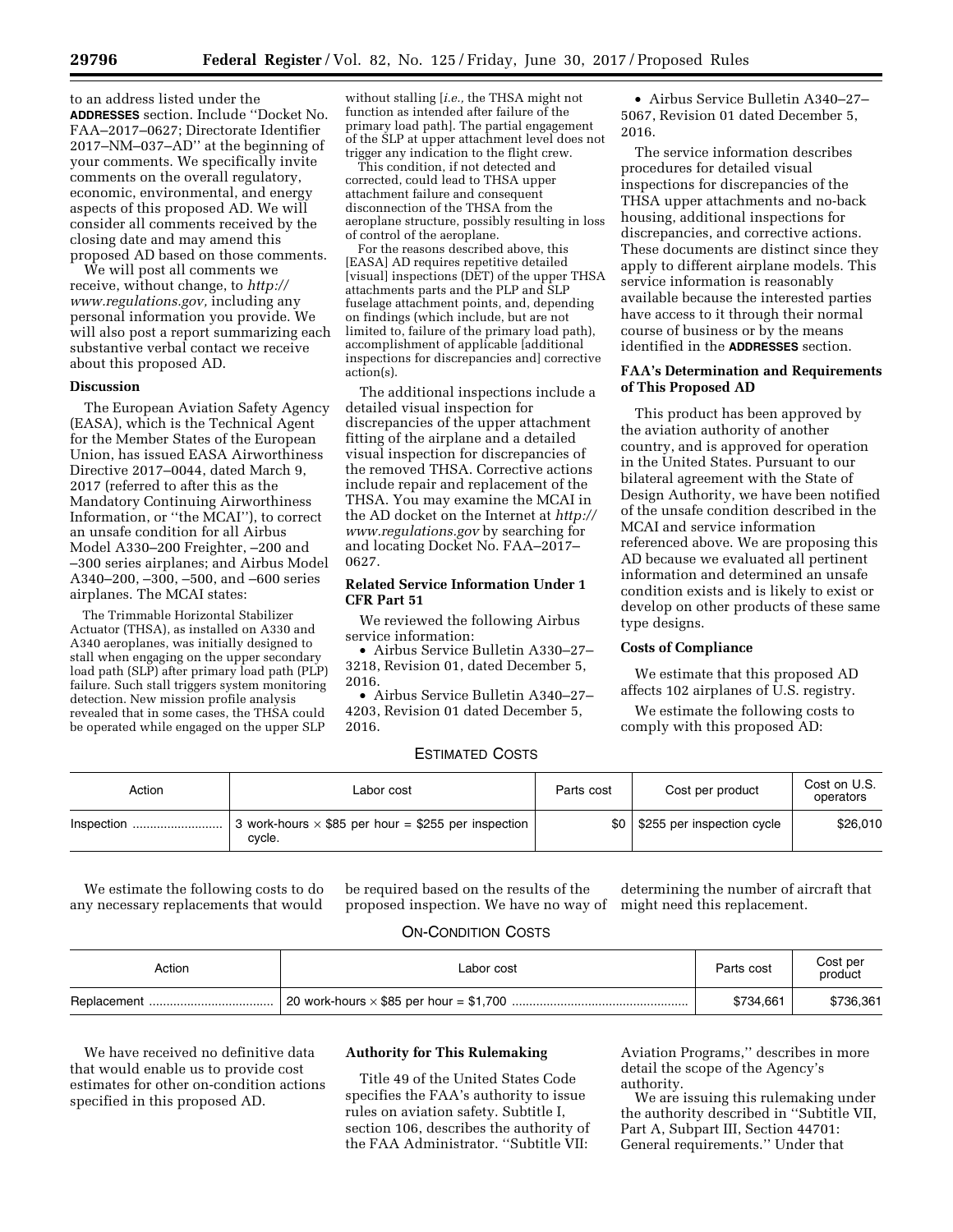to an address listed under the **ADDRESSES** section. Include ''Docket No. FAA–2017–0627; Directorate Identifier 2017–NM–037–AD'' at the beginning of your comments. We specifically invite comments on the overall regulatory, economic, environmental, and energy aspects of this proposed AD. We will consider all comments received by the closing date and may amend this proposed AD based on those comments.

We will post all comments we receive, without change, to *[http://](http://www.regulations.gov) [www.regulations.gov,](http://www.regulations.gov)* including any personal information you provide. We will also post a report summarizing each substantive verbal contact we receive about this proposed AD.

## **Discussion**

The European Aviation Safety Agency (EASA), which is the Technical Agent for the Member States of the European Union, has issued EASA Airworthiness Directive 2017–0044, dated March 9, 2017 (referred to after this as the Mandatory Continuing Airworthiness Information, or ''the MCAI''), to correct an unsafe condition for all Airbus Model A330–200 Freighter, –200 and –300 series airplanes; and Airbus Model A340–200, –300, –500, and –600 series airplanes. The MCAI states:

The Trimmable Horizontal Stabilizer Actuator (THSA), as installed on A330 and A340 aeroplanes, was initially designed to stall when engaging on the upper secondary load path (SLP) after primary load path (PLP) failure. Such stall triggers system monitoring detection. New mission profile analysis revealed that in some cases, the THSA could be operated while engaged on the upper SLP

without stalling [*i.e.,* the THSA might not function as intended after failure of the primary load path]. The partial engagement of the SLP at upper attachment level does not trigger any indication to the flight crew.

This condition, if not detected and corrected, could lead to THSA upper attachment failure and consequent disconnection of the THSA from the aeroplane structure, possibly resulting in loss of control of the aeroplane.

For the reasons described above, this [EASA] AD requires repetitive detailed [visual] inspections (DET) of the upper THSA attachments parts and the PLP and SLP fuselage attachment points, and, depending on findings (which include, but are not limited to, failure of the primary load path), accomplishment of applicable [additional inspections for discrepancies and] corrective action(s).

The additional inspections include a detailed visual inspection for discrepancies of the upper attachment fitting of the airplane and a detailed visual inspection for discrepancies of the removed THSA. Corrective actions include repair and replacement of the THSA. You may examine the MCAI in the AD docket on the Internet at *[http://](http://www.regulations.gov) [www.regulations.gov](http://www.regulations.gov)* by searching for and locating Docket No. FAA–2017– 0627.

# **Related Service Information Under 1 CFR Part 51**

We reviewed the following Airbus service information:

• Airbus Service Bulletin A330–27– 3218, Revision 01, dated December 5, 2016.

• Airbus Service Bulletin A340–27– 4203, Revision 01 dated December 5, 2016.

• Airbus Service Bulletin A340–27– 5067, Revision 01 dated December 5, 2016.

The service information describes procedures for detailed visual inspections for discrepancies of the THSA upper attachments and no-back housing, additional inspections for discrepancies, and corrective actions. These documents are distinct since they apply to different airplane models. This service information is reasonably available because the interested parties have access to it through their normal course of business or by the means identified in the **ADDRESSES** section.

# **FAA's Determination and Requirements of This Proposed AD**

This product has been approved by the aviation authority of another country, and is approved for operation in the United States. Pursuant to our bilateral agreement with the State of Design Authority, we have been notified of the unsafe condition described in the MCAI and service information referenced above. We are proposing this AD because we evaluated all pertinent information and determined an unsafe condition exists and is likely to exist or develop on other products of these same type designs.

### **Costs of Compliance**

We estimate that this proposed AD affects 102 airplanes of U.S. registry.

We estimate the following costs to comply with this proposed AD:

# ESTIMATED COSTS

| Action | Labor cost                                                           | Parts cost | Cost per product           | Cost on U.S.<br>operators |
|--------|----------------------------------------------------------------------|------------|----------------------------|---------------------------|
|        | 3 work-hours $\times$ \$85 per hour = \$255 per inspection<br>cvcle. | \$0        | \$255 per inspection cycle | \$26,010                  |

We estimate the following costs to do any necessary replacements that would

be required based on the results of the proposed inspection. We have no way of

determining the number of aircraft that might need this replacement.

# ON-CONDITION COSTS

| Action | Labor cost | Parts cost | Cost per<br>product |
|--------|------------|------------|---------------------|
|        |            | \$734.661  | \$736,361           |

We have received no definitive data that would enable us to provide cost estimates for other on-condition actions specified in this proposed AD.

# **Authority for This Rulemaking**

Title 49 of the United States Code specifies the FAA's authority to issue rules on aviation safety. Subtitle I, section 106, describes the authority of the FAA Administrator. ''Subtitle VII:

Aviation Programs,'' describes in more detail the scope of the Agency's authority.

We are issuing this rulemaking under the authority described in ''Subtitle VII, Part A, Subpart III, Section 44701: General requirements.'' Under that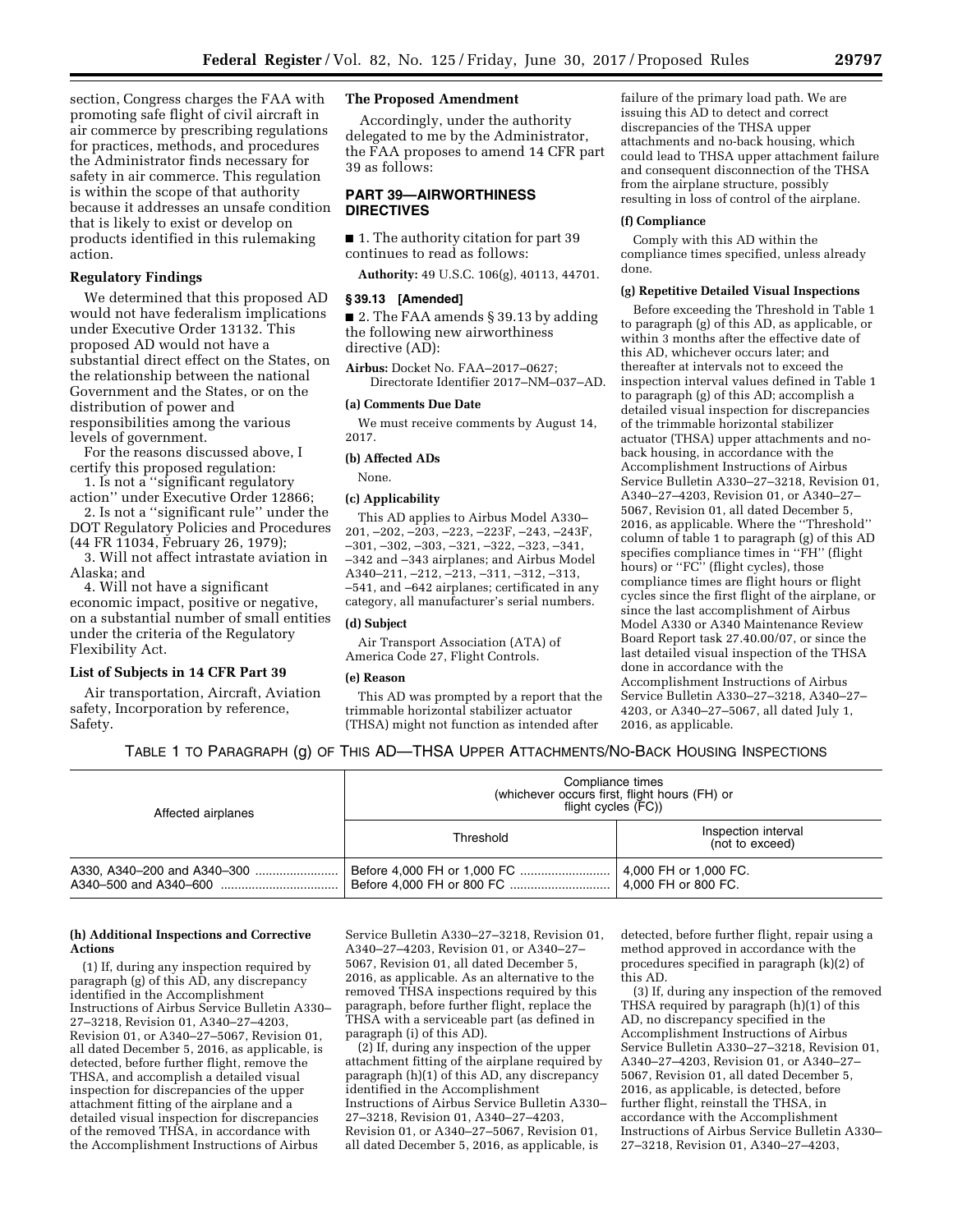section, Congress charges the FAA with promoting safe flight of civil aircraft in air commerce by prescribing regulations for practices, methods, and procedures the Administrator finds necessary for safety in air commerce. This regulation is within the scope of that authority because it addresses an unsafe condition that is likely to exist or develop on products identified in this rulemaking action.

### **Regulatory Findings**

We determined that this proposed AD would not have federalism implications under Executive Order 13132. This proposed AD would not have a substantial direct effect on the States, on the relationship between the national Government and the States, or on the distribution of power and responsibilities among the various levels of government.

For the reasons discussed above, I certify this proposed regulation:

1. Is not a ''significant regulatory action'' under Executive Order 12866;

2. Is not a ''significant rule'' under the DOT Regulatory Policies and Procedures (44 FR 11034, February 26, 1979);

3. Will not affect intrastate aviation in Alaska; and

4. Will not have a significant economic impact, positive or negative, on a substantial number of small entities under the criteria of the Regulatory Flexibility Act.

# **List of Subjects in 14 CFR Part 39**

Air transportation, Aircraft, Aviation safety, Incorporation by reference, Safety.

## **The Proposed Amendment**

Accordingly, under the authority delegated to me by the Administrator, the FAA proposes to amend 14 CFR part 39 as follows:

# **PART 39—AIRWORTHINESS DIRECTIVES**

■ 1. The authority citation for part 39 continues to read as follows:

**Authority:** 49 U.S.C. 106(g), 40113, 44701.

## **§ 39.13 [Amended]**

■ 2. The FAA amends § 39.13 by adding the following new airworthiness directive (AD):

**Airbus:** Docket No. FAA–2017–0627; Directorate Identifier 2017–NM–037–AD.

#### **(a) Comments Due Date**

We must receive comments by August 14, 2017.

## **(b) Affected ADs**

None.

## **(c) Applicability**

This AD applies to Airbus Model A330– 201, –202, –203, –223, –223F, –243, –243F, –301, –302, –303, –321, –322, –323, –341, –342 and –343 airplanes; and Airbus Model A340–211, –212, –213, –311, –312, –313, –541, and –642 airplanes; certificated in any category, all manufacturer's serial numbers.

## **(d) Subject**

Air Transport Association (ATA) of America Code 27, Flight Controls.

#### **(e) Reason**

This AD was prompted by a report that the trimmable horizontal stabilizer actuator (THSA) might not function as intended after

failure of the primary load path. We are issuing this AD to detect and correct discrepancies of the THSA upper attachments and no-back housing, which could lead to THSA upper attachment failure and consequent disconnection of the THSA from the airplane structure, possibly resulting in loss of control of the airplane.

#### **(f) Compliance**

Comply with this AD within the compliance times specified, unless already done.

## **(g) Repetitive Detailed Visual Inspections**

Before exceeding the Threshold in Table 1 to paragraph (g) of this AD, as applicable, or within 3 months after the effective date of this AD, whichever occurs later; and thereafter at intervals not to exceed the inspection interval values defined in Table 1 to paragraph (g) of this AD; accomplish a detailed visual inspection for discrepancies of the trimmable horizontal stabilizer actuator (THSA) upper attachments and noback housing, in accordance with the Accomplishment Instructions of Airbus Service Bulletin A330–27–3218, Revision 01, A340–27–4203, Revision 01, or A340–27– 5067, Revision 01, all dated December 5, 2016, as applicable. Where the ''Threshold'' column of table 1 to paragraph (g) of this AD specifies compliance times in ''FH'' (flight hours) or "FC" (flight cycles), those compliance times are flight hours or flight cycles since the first flight of the airplane, or since the last accomplishment of Airbus Model A330 or A340 Maintenance Review Board Report task 27.40.00/07, or since the last detailed visual inspection of the THSA done in accordance with the Accomplishment Instructions of Airbus Service Bulletin A330–27–3218, A340–27– 4203, or A340–27–5067, all dated July 1, 2016, as applicable.

# TABLE 1 TO PARAGRAPH (g) OF THIS AD—THSA UPPER ATTACHMENTS/NO-BACK HOUSING INSPECTIONS

| Affected airplanes | Compliance times<br>(whichever occurs first, flight hours (FH) or<br>flight cycles (FC)) |                                        |  |
|--------------------|------------------------------------------------------------------------------------------|----------------------------------------|--|
|                    | Threshold                                                                                | Inspection interval<br>(not to exceed) |  |
|                    |                                                                                          | 4,000 FH or 1,000 FC.                  |  |

## **(h) Additional Inspections and Corrective Actions**

(1) If, during any inspection required by paragraph (g) of this AD, any discrepancy identified in the Accomplishment Instructions of Airbus Service Bulletin A330– 27–3218, Revision 01, A340–27–4203, Revision 01, or A340–27–5067, Revision 01, all dated December 5, 2016, as applicable, is detected, before further flight, remove the THSA, and accomplish a detailed visual inspection for discrepancies of the upper attachment fitting of the airplane and a detailed visual inspection for discrepancies of the removed THSA, in accordance with the Accomplishment Instructions of Airbus

Service Bulletin A330–27–3218, Revision 01, A340–27–4203, Revision 01, or A340–27– 5067, Revision 01, all dated December 5, 2016, as applicable. As an alternative to the removed THSA inspections required by this paragraph, before further flight, replace the THSA with a serviceable part (as defined in paragraph (i) of this AD).

(2) If, during any inspection of the upper attachment fitting of the airplane required by paragraph (h)(1) of this AD, any discrepancy identified in the Accomplishment Instructions of Airbus Service Bulletin A330– 27–3218, Revision 01, A340–27–4203, Revision 01, or A340–27–5067, Revision 01, all dated December 5, 2016, as applicable, is

detected, before further flight, repair using a method approved in accordance with the procedures specified in paragraph (k)(2) of this AD.

(3) If, during any inspection of the removed THSA required by paragraph (h)(1) of this AD, no discrepancy specified in the Accomplishment Instructions of Airbus Service Bulletin A330–27–3218, Revision 01, A340–27–4203, Revision 01, or A340–27– 5067, Revision 01, all dated December 5, 2016, as applicable, is detected, before further flight, reinstall the THSA, in accordance with the Accomplishment Instructions of Airbus Service Bulletin A330– 27–3218, Revision 01, A340–27–4203,